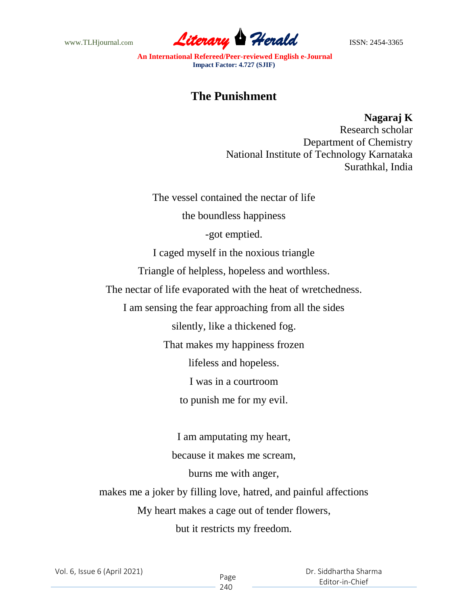www.TLHjournal.com **Literary Herald Herald ISSN: 2454-3365** 

**An International Refereed/Peer-reviewed English e-Journal Impact Factor: 4.727 (SJIF)**

## **The Punishment**

**Nagaraj K**

Research scholar Department of Chemistry National Institute of Technology Karnataka Surathkal, India

The vessel contained the nectar of life

the boundless happiness

-got emptied.

I caged myself in the noxious triangle

Triangle of helpless, hopeless and worthless.

The nectar of life evaporated with the heat of wretchedness.

I am sensing the fear approaching from all the sides

silently, like a thickened fog.

That makes my happiness frozen

lifeless and hopeless.

I was in a courtroom

to punish me for my evil.

I am amputating my heart, because it makes me scream, burns me with anger, makes me a joker by filling love, hatred, and painful affections My heart makes a cage out of tender flowers, but it restricts my freedom.

Vol. 6, Issue 6 (April 2021)

 Dr. Siddhartha Sharma Editor-in-Chief